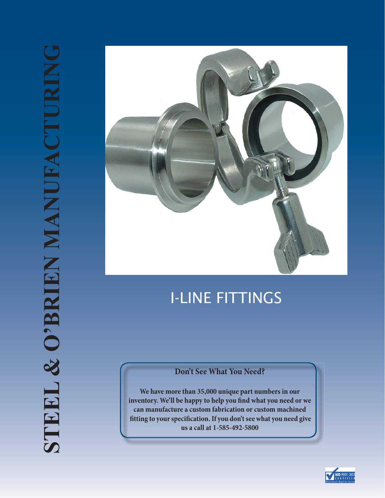

# I-LINE FITTINGS

#### **Don't See What You Need?**

**We have more than 35,000 unique part numbers in our**  inventory. We'll be happy to help you find what you need or we **can manufacture a custom fabrication or custom machined ! tting to your speci! cation. If you don't see what you need give us a call at 1-585-492-5800**

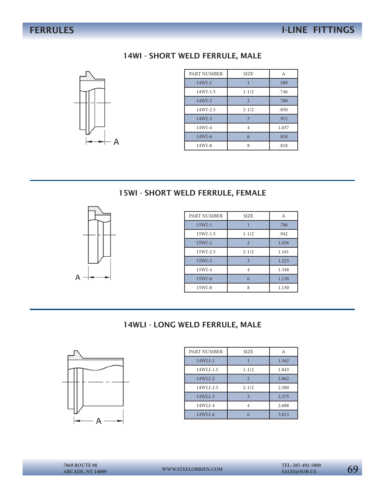#### 14WI - SHORT WELD FERRULE, MALE



| PART NUMBER  | <b>SIZE</b>             | A     |
|--------------|-------------------------|-------|
| $14WI-1$     |                         | .589  |
| $14WI - 1.5$ | $1 - 1/2$               | .746  |
| $14WI-2$     | $\overline{2}$          | .780  |
| 14WI-2.5     | $2 - 1/2$               | .850  |
| $14WI-3$     | $\overline{\mathbf{3}}$ | .912  |
| $14WI-4$     | 4                       | 1.037 |
| $14WI-6$     | 6                       | .818  |
| $14WI-8$     | 8                       | .818  |

### 15WI - SHORT WELD FERRULE, FEMALE



| PART NUMBER | <b>SIZE</b>    | А     |
|-------------|----------------|-------|
| $15WI-1$    |                | .786  |
| $15WI-1.5$  | $1 - 1/2$      | .942  |
| $15WI-2$    | $\overline{2}$ | 1.036 |
| 15WI-2.5    | $2 - 1/2$      | 1.161 |
| $15WI-3$    | $\mathbf{3}$   | 1.223 |
| $15WI-4$    | 4              | 1.348 |
| 15WI-6      | 6              | 1.130 |
| $15WI-8$    | 8              | 1.130 |

#### 14WLI - LONG WELD FERRULE, MALE



| PART NUMBER | <b>SIZE</b>               | A     |
|-------------|---------------------------|-------|
| $14WLI-1$   |                           | 1.562 |
| 14WLI-1.5   | $1 - 1/2$                 | 1.843 |
| $14WLI-2$   | $\overline{\mathfrak{D}}$ | 2.062 |
| 14WLI-2.5   | $2 - 1/2$                 | 2.500 |
| $14WLI-3$   |                           | 2.375 |
| $14WLI-4$   |                           | 2.688 |
| $14WLI-6$   | 6                         | 3.813 |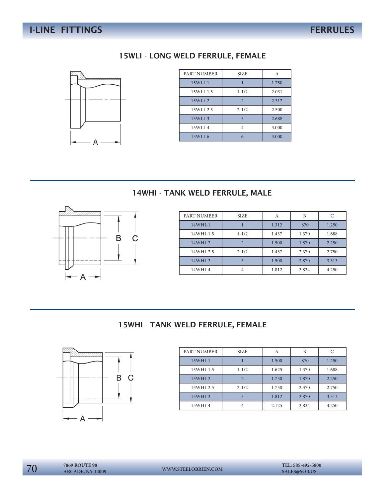#### 15WLI - LONG WELD FERRULE, FEMALE



| PART NUMBER | <b>SIZE</b>             | А     |
|-------------|-------------------------|-------|
| $15WLI-1$   |                         | 1.750 |
| 15WLI-1.5   | $1 - 1/2$               | 2.031 |
| $15WLI-2$   | $\overline{2}$          | 2.312 |
| 15WLI-2.5   | $2 - 1/2$               | 2.500 |
| $15WLI-3$   | $\overline{\mathbf{3}}$ | 2.688 |
| 15WLI-4     | 4                       | 3.000 |
| 15WLI-6     |                         | 3.000 |

# 14WHI - TANK WELD FERRULE, MALE



| PART NUMBER | <b>SIZE</b> | A     | B     | C     |
|-------------|-------------|-------|-------|-------|
| $14WHI-1$   |             | 1.312 | .870  | 1.250 |
| 14WHI-1.5   | $1 - 1/2$   | 1.437 | 1.370 | 1.688 |
| $14WHI-2$   |             | 1.500 | 1.870 | 2.250 |
| 14WHI-2.5   | $2 - 1/2$   | 1.437 | 2.370 | 2.750 |
| $14WHI-3$   | 3           | 1.500 | 2.870 | 3.313 |
| 14WHI-4     |             | 1.812 | 3.834 | 4.250 |

#### 15WHI - TANK WELD FERRULE, FEMALE



| PART NUMBER | <b>SIZE</b> |       | B     | C     |
|-------------|-------------|-------|-------|-------|
| $15WHI-1$   |             | 1.500 | .870  | 1.250 |
| 15WHI-1.5   | $1 - 1/2$   | 1.625 | 1.370 | 1.688 |
| $15WHI-2$   | 2           | 1.750 | 1.870 | 2.250 |
| 15WHI-2.5   | $2 - 1/2$   | 1.750 | 2.370 | 2.750 |
| $15WHI-3$   |             | 1.812 | 2.870 | 3.313 |
| $15WHI-4$   |             | 2.125 | 3.834 | 4.250 |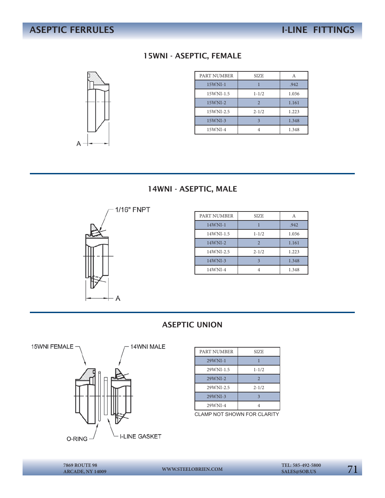# 15WNI - ASEPTIC, FEMALE



| PART NUMBER | SIZE.     | A     |
|-------------|-----------|-------|
| $15WNI-1$   |           | .942  |
| 15WNI-1.5   | $1 - 1/2$ | 1.036 |
| $15WNI-2$   | 2         | 1.161 |
| 15WNI-2.5   | $2 - 1/2$ | 1.223 |
| $15WNI-3$   |           | 1.348 |
| 15WNI-4     |           | 1.348 |

#### 14WNI - ASEPTIC, MALE



| PART NUMBER | <b>SIZE</b>    |       |
|-------------|----------------|-------|
| $14$ WNI-1  |                | .942  |
| 14WNI-1.5   | $1 - 1/2$      | 1.036 |
| $14$ WNI-2  | $\mathfrak{D}$ | 1.161 |
| 14WNI-2.5   | $2 - 1/2$      | 1.223 |
| $14$ WNI-3  |                | 1.348 |
| 14WNI-4     |                | 1.348 |

#### ASEPTIC UNION



| PART NUMBER | SIZE                  |
|-------------|-----------------------|
| $29$ WNI-1  |                       |
| 29WNI-1.5   | $1 - 1/2$             |
| 29WNI-2     | $\overline{2}$        |
| 29WNI-2.5   | $2 - 1/2$             |
| $29WNI-3$   | 3                     |
| 29WNI-4     |                       |
| $\sim$      | $CD$ $CD$ $ADIT$<br>- |

CLAMP NOT SHOWN FOR CLARITY

**ARCADE, NY 14009**

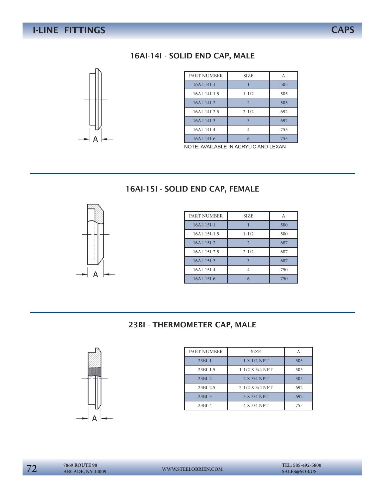#### 16AI-14I - SOLID END CAP, MALE



| PART NUMBER    | <b>SIZE</b>   | A    |
|----------------|---------------|------|
| $16AI-14I-1$   |               | .505 |
| 16AI-14I-1.5   | $1 - 1/2$     | .505 |
| $16AI-14I-2$   | $\mathcal{D}$ | .505 |
| $16AI-14I-2.5$ | $2 - 1/2$     | .692 |
| $16AI-14I-3$   |               | .692 |
| $16AI-14I-4$   |               | .755 |
| $16AI-14I-6$   |               | .755 |

NOTE: AVAILABLE IN ACRYLIC AND LEXAN

#### 16AI-15I - SOLID END CAP, FEMALE



| PART NUMBER    | <b>SIZE</b>    | A    |
|----------------|----------------|------|
| $16AI-15I-1$   |                | .500 |
| $16AI-15I-1.5$ | $1 - 1/2$      | .500 |
| $16AI-15I-2$   | $\overline{2}$ | .687 |
| $16AI-15I-2.5$ | $2 - 1/2$      | .687 |
| $16AI-15I-3$   | 3              | .687 |
| $16AI-15I-4$   |                | .750 |
| $16AI-15I-6$   |                | .750 |

#### 23BI - THERMOMETER CAP, MALE



| PART NUMBER  | <b>SIZE</b>       |      |
|--------------|-------------------|------|
| $23BI-1$     | 1 X 1/2 NPT       | .505 |
| $23BI-1.5$   | $1-1/2$ X 3/4 NPT | .505 |
| $23BI-2$     | 2 X 3/4 NPT       | .505 |
| $23BI - 2.5$ | 2-1/2 X 3/4 NPT   | .692 |
| $23BI-3$     | 3 X 3/4 NPT       | .692 |
| $23BI-4$     | 4 X 3/4 NPT       | .755 |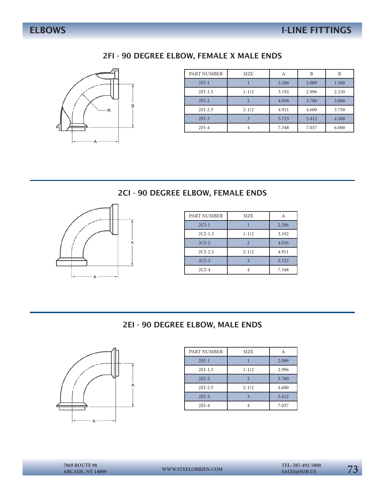#### 2FI - 90 DEGREE ELBOW, FEMALE X MALE ENDS



| PART NUMBER | <b>SIZE</b>    | А     | B     | R     |
|-------------|----------------|-------|-------|-------|
| $2FI-1$     |                | 2.286 | 2.089 | 1.500 |
| $2FI-1.5$   | $1 - 1/2$      | 3.192 | 2.996 | 2.250 |
| $2FI-2$     | $\overline{2}$ | 4.036 | 3.780 | 3.000 |
| $2FI-2.5$   | $2 - 1/2$      | 4.911 | 4.600 | 3.750 |
| $2FI-3$     | 3              | 5.723 | 5.412 | 4.500 |
| $2FI-4$     | 4              | 7.348 | 7.037 | 6.000 |

### 2CI - 90 DEGREE ELBOW, FEMALE ENDS



| PART NUMBER | SIZE.          | Α     |
|-------------|----------------|-------|
| $2CI-1$     |                | 2.286 |
| $2CI-1.5$   | $1 - 1/2$      | 3.192 |
| $2CI-2$     | $\mathfrak{D}$ | 4.036 |
| $2CI-2.5$   | $2 - 1/2$      | 4.911 |
| $2CI-3$     |                | 5.723 |
| $2CI-4$     |                | 7.348 |

#### 2EI - 90 DEGREE ELBOW, MALE ENDS



| PART NUMBER | <b>SIZE</b> |       |
|-------------|-------------|-------|
| $2EI-1$     |             | 2.089 |
| $2EI-1.5$   | $1 - 1/2$   | 2.996 |
| $2EI-2$     |             | 3.780 |
| 2EI-2.5     | $2 - 1/2$   | 4.600 |
| $2EI-3$     |             | 5.412 |
| $2EI-4$     |             | 7.037 |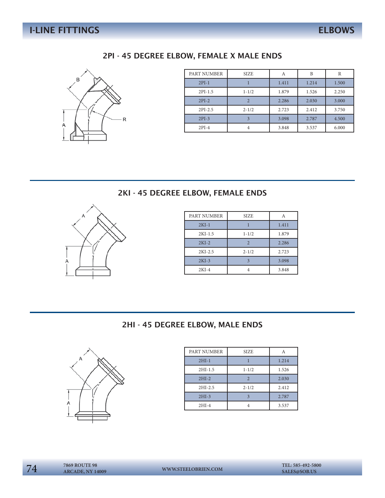#### 2PI - 45 DEGREE ELBOW, FEMALE X MALE ENDS



| PART NUMBER | <b>SIZE</b>    | А     | B     | R     |
|-------------|----------------|-------|-------|-------|
| $2PI-1$     |                | 1.411 | 1.214 | 1.500 |
| $2PI-1.5$   | $1 - 1/2$      | 1.879 | 1.526 | 2.250 |
| $2PI-2$     | $\overline{2}$ | 2.286 | 2.030 | 3.000 |
| $2PI-2.5$   | $2 - 1/2$      | 2.723 | 2.412 | 3.750 |
| $2PI-3$     | 3              | 3.098 | 2.787 | 4.500 |
| $2PI-4$     | 4              | 3.848 | 3.537 | 6.000 |

### 2KI - 45 DEGREE ELBOW, FEMALE ENDS



| PART NUMBER | <b>SIZE</b> |       |
|-------------|-------------|-------|
| $2KI-1$     |             | 1.411 |
| $2KI-1.5$   | $1 - 1/2$   | 1.879 |
| $2KI-2$     | 2           | 2.286 |
| $2KI-2.5$   | $2 - 1/2$   | 2.723 |
| $2KI-3$     |             | 3.098 |
| $2KI-4$     |             | 3.848 |

#### 2HI - 45 DEGREE ELBOW, MALE ENDS



| PART NUMBER | SIZE      |       |
|-------------|-----------|-------|
| $2HI-1$     |           | 1.214 |
| $2HI-1.5$   | $1 - 1/2$ | 1.526 |
| $2HI-2$     |           | 2.030 |
| $2HI-2.5$   | $2 - 1/2$ | 2.412 |
| $2HI-3$     |           | 2.787 |
| $2HI-4$     |           | 3.537 |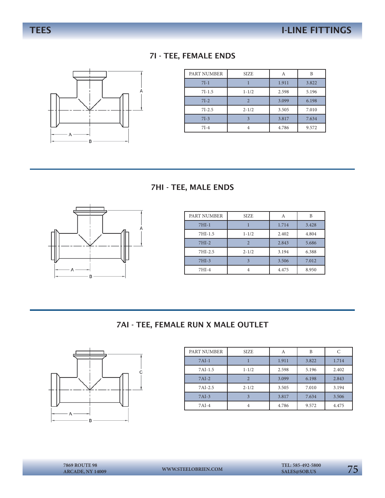#### 7I - TEE, FEMALE ENDS



| PART NUMBER | <b>SIZE</b>    | А     | B     |
|-------------|----------------|-------|-------|
| $7I-1$      |                | 1.911 | 3.822 |
| $7I-1.5$    | $1 - 1/2$      | 2.598 | 5.196 |
| $7I-2$      | $\overline{2}$ | 3.099 | 6.198 |
| $7I-2.5$    | $2 - 1/2$      | 3.505 | 7.010 |
| $7I-3$      |                | 3.817 | 7.634 |
| $7I-4$      |                | 4.786 | 9.572 |

#### 7HI - TEE, MALE ENDS



| PART NUMBER | <b>SIZE</b>             | Α     | B     |
|-------------|-------------------------|-------|-------|
| $7HI-1$     |                         | 1.714 | 3.428 |
| 7HI-1.5     | $1 - 1/2$               | 2.402 | 4.804 |
| $7HI-2$     | $\overline{2}$          | 2.843 | 5.686 |
| 7HI-2.5     | $2 - 1/2$               | 3.194 | 6.388 |
| $7HI-3$     | $\overline{\mathbf{z}}$ | 3.506 | 7.012 |
| $7HI-4$     |                         | 4.475 | 8.950 |

#### 7AI - TEE, FEMALE RUN X MALE OUTLET



| PART NUMBER | <b>SIZE</b> | А     | B     |       |
|-------------|-------------|-------|-------|-------|
| $7AI-1$     |             | 1.911 | 3.822 | 1.714 |
| 7AI-1.5     | $1 - 1/2$   | 2.598 | 5.196 | 2.402 |
| $7AI-2$     |             | 3.099 | 6.198 | 2.843 |
| 7AI-2.5     | $2 - 1/2$   | 3.505 | 7.010 | 3.194 |
| $7AI-3$     | 3           | 3.817 | 7.634 | 3.506 |
| $7AI-4$     |             | 4.786 | 9.572 | 4.475 |

75 **7869 ROUTE 98 WWW.STEELOBRIEN.COM SALES@SOB.US ARCADE, NY 14009**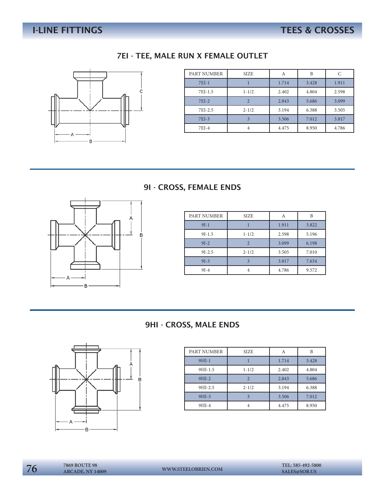# I-LINE FITTINGS TEES & CROSSES

#### 7EI - TEE, MALE RUN X FEMALE OUTLET



| PART NUMBER | <b>SIZE</b>    | А     | B     |       |
|-------------|----------------|-------|-------|-------|
| $7EI-1$     |                | 1.714 | 3.428 | 1.911 |
| 7EI-1.5     | $1 - 1/2$      | 2.402 | 4.804 | 2.598 |
| $7EI-2$     | $\overline{2}$ | 2.843 | 5.686 | 3.099 |
| 7EI-2.5     | $2 - 1/2$      | 3.194 | 6.388 | 3.505 |
| 7EI-3       | 3              | 3.506 | 7.012 | 3.817 |
| 7EI-4       | 4              | 4.475 | 8.950 | 4.786 |

#### 9I - CROSS, FEMALE ENDS



| PART NUMBER | <b>SIZE</b>    | A     | B     |
|-------------|----------------|-------|-------|
| $9I-1$      |                | 1.911 | 3.822 |
| $9I-1.5$    | $1 - 1/2$      | 2.598 | 5.196 |
| $9I-2$      | $\mathfrak{D}$ | 3.099 | 6.198 |
| $9I - 2.5$  | $2 - 1/2$      | 3.505 | 7.010 |
| $9I-3$      | $\mathbf{R}$   | 3.817 | 7.634 |
| $9I-4$      |                | 4.786 | 9.572 |

#### 9HI - CROSS, MALE ENDS



| PART NUMBER | <b>SIZE</b>    |       | B     |
|-------------|----------------|-------|-------|
| $9HI-1$     |                | 1.714 | 3.428 |
| 9HI-1.5     | $1 - 1/2$      | 2.402 | 4.804 |
| $9HI-2$     | $\mathfrak{D}$ | 2.843 | 5.686 |
| 9HI-2.5     | $2 - 1/2$      | 3.194 | 6.388 |
| $9HI-3$     |                | 3.506 | 7.012 |
| 9HI-4       |                | 4.475 | 8.950 |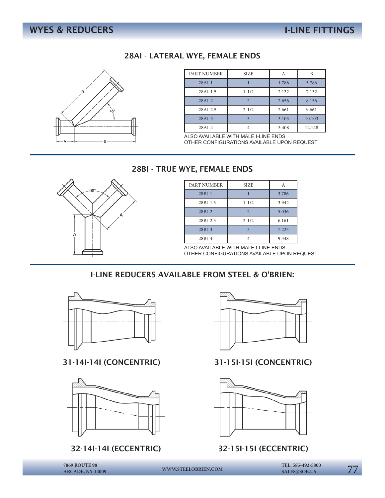#### 28AI - LATERAL WYE, FEMALE ENDS



| PART NUMBER | <b>SIZE</b>    | А     | B      |
|-------------|----------------|-------|--------|
| $28AI-1$    |                | 1.786 | 5.786  |
| $28AI-1.5$  | $1 - 1/2$      | 2.132 | 7.132  |
| $28AI-2$    | $\mathfrak{D}$ | 2.656 | 8.156  |
| $28AI-2.5$  | $2 - 1/2$      | 2.661 | 9.661  |
| $28AI-3$    |                | 3.103 | 10.103 |
| $28AI-4$    |                | 3.408 | 12.148 |

ALSO AVAILABLE WITH MALE I-LINE ENDS OTHER CONFIGURATIONS AVAILABLE UPON REQUEST

#### 28BI - TRUE WYE, FEMALE ENDS



| PART NUMBER | <b>SIZE</b> |       |
|-------------|-------------|-------|
| $28BI-1$    |             | 3.786 |
| 28BI-1.5    | $1 - 1/2$   | 3.942 |
| $28BI-2$    |             | 5.036 |
| 28BI-2.5    | $2 - 1/2$   | 6.161 |
| $28BI-3$    |             | 7.223 |
| $28BI-4$    |             | 9.348 |

ALSO AVAILABLE WITH MALE I-LINE ENDS OTHER CONFIGURATIONS AVAILABLE UPON REQUEST

#### I-LINE REDUCERS AVAILABLE FROM STEEL & O'BRIEN:



31-14I-14I (CONCENTRIC) 31-15I-15I (CONCENTRIC)



#### 32-14I-14I (ECCENTRIC) 32-15I-15I (ECCENTRIC)





**ARCADE, NY 14009**

77 **7869 ROUTE 98 WWW.STEELOBRIEN.COM SALES@SOB.US TEL: 585-492-5800**

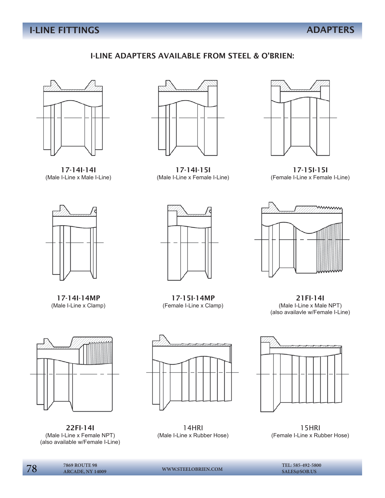#### I-LINE ADAPTERS AVAILABLE FROM STEEL & O'BRIEN:



17-14I-14I (Male I-Line x Male I-Line)



17-14I-15I (Male I-Line x Female I-Line)



17-15I-15I (Female I-Line x Female I-Line)



17-14I-14MP (Male I-Line x Clamp)



22FI-14I (Male I-Line x Female NPT) (also available w/Female I-Line)



17-15I-14MP (Female I-Line x Clamp)



21FI-14I (Male I-Line x Male NPT) (also availavle w/Female I-Line)



14HRI (Male I-Line x Rubber Hose)



15HRI (Female I-Line x Rubber Hose)

**TEL:** 585-492-5800 7869 ROUTE 98 **WWW.STEELOBRIEN.COM** TEL: 585-492-5800 **7869 ROUTE 98**